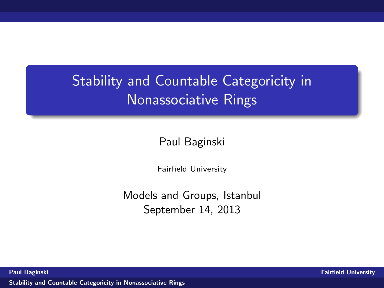# Stability and Countable Categoricity in Nonassociative Rings

Paul Baginski

<span id="page-0-0"></span>Fairfield University

Models and Groups, Istanbul September 14, 2013

Paul Baginski Fairfield University and the Community of the Community of the Community of the Community of the Community of the Community of the Community of the Community of the Community of the Community of the Community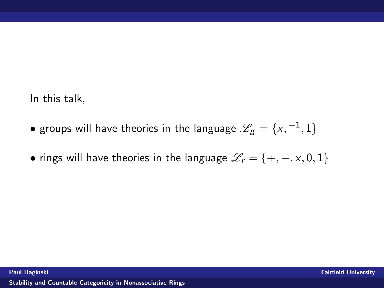In this talk,

- $\bullet$  groups will have theories in the language  $\mathscr{L}_g = \{\mathsf{x},\mathsf{-1},1\}$
- rings will have theories in the language  $\mathcal{L}_r = \{+, -, x, 0, 1\}$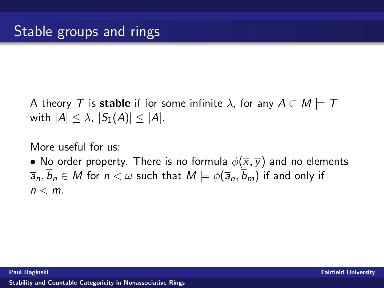A theory T is stable if for some infinite  $\lambda$ , for any  $A \subset M \models T$ with  $|A| \leq \lambda$ ,  $|S_1(A)| \leq |A|$ .

More useful for us:

• No order property. There is no formula  $\phi(\overline{x}, \overline{y})$  and no elements  $\overline{a}_n, \overline{b}_n \in M$  for  $n < \omega$  such that  $M \models \phi(\overline{a}_n, \overline{b}_m)$  if and only if  $n < m$ .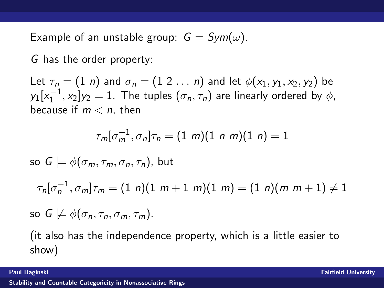Example of an unstable group:  $G = Sym(\omega)$ .

G has the order property:

Let  $\tau_n = (1 \ n)$  and  $\sigma_n = (1 \ 2 \ \dots \ n)$  and let  $\phi(x_1, y_1, x_2, y_2)$  be  $\mathsf{y}_1[\mathsf{x}_1^{-1}, \mathsf{x}_2] \mathsf{y}_2 = 1$ . The tuples  $(\sigma_n, \tau_n)$  are linearly ordered by  $\phi$ , because if  $m < n$ , then

$$
\tau_m[\sigma_m^{-1}, \sigma_n]\tau_n = (1 \; m)(1 \; n \; m)(1 \; n) = 1
$$

so  $G \models \phi(\sigma_m, \tau_m, \sigma_n, \tau_n)$ , but

 $\tau_n[\sigma_n^{-1},\sigma_m]\tau_m = (1\,\,n)(1\,\,m+1\,\,m)(1\,\,m) = (1\,\,n)(m\,\,m+1) \neq 1$ 

so 
$$
G \not\models \phi(\sigma_n, \tau_n, \sigma_m, \tau_m)
$$
.

(it also has the independence property, which is a little easier to show)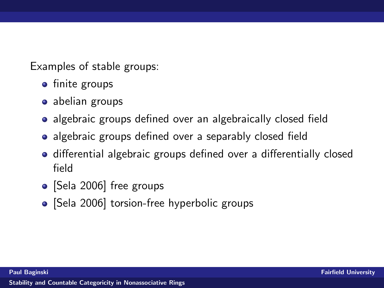Examples of stable groups:

- finite groups
- abelian groups
- algebraic groups defined over an algebraically closed field
- algebraic groups defined over a separably closed field
- differential algebraic groups defined over a differentially closed field
- [Sela 2006] free groups
- [Sela 2006] torsion-free hyperbolic groups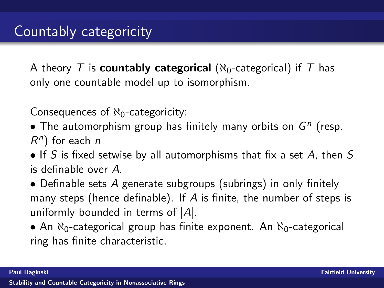A theory T is **countably categorical** ( $\aleph_0$ -categorical) if T has only one countable model up to isomorphism.

Consequences of  $\aleph_0$ -categoricity:

- The automorphism group has finitely many orbits on  $G<sup>n</sup>$  (resp.  $R<sup>n</sup>$ ) for each n
- If S is fixed setwise by all automorphisms that fix a set A, then  $S$ is definable over A.
- Definable sets A generate subgroups (subrings) in only finitely many steps (hence definable). If A is finite, the number of steps is uniformly bounded in terms of  $|A|$ .
- An  $\aleph_0$ -categorical group has finite exponent. An  $\aleph_0$ -categorical ring has finite characteristic.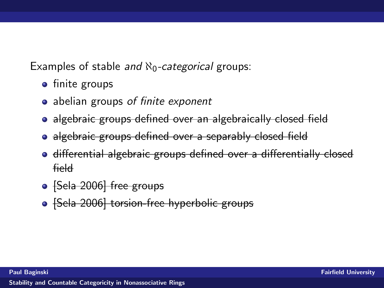Examples of stable and  $\aleph_0$ -categorical groups:

- finite groups
- abelian groups of finite exponent
- algebraic groups defined over an algebraically closed field
- algebraic groups defined over a separably closed field
- differential algebraic groups defined over a differentially closed field
- [Sela 2006] free groups
- [Sela 2006] torsion-free hyperbolic groups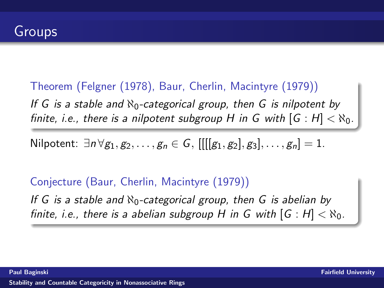Theorem (Felgner (1978), Baur, Cherlin, Macintyre (1979)) If G is a stable and  $\aleph_0$ -categorical group, then G is nilpotent by finite, i.e., there is a nilpotent subgroup H in G with  $[G : H] < \aleph_0$ .

Nilpotent:  $\exists n \forall g_1, g_2, \dots, g_n \in G$ ,  $[[[[g_1, g_2], g_3], \dots, g_n] = 1$ .

Conjecture (Baur, Cherlin, Macintyre (1979)) If G is a stable and  $\aleph_0$ -categorical group, then G is abelian by finite, i.e., there is a abelian subgroup H in G with  $[G : H] < \aleph_0$ .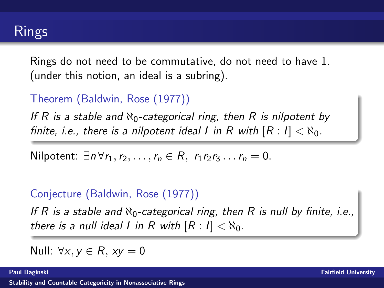Rings do not need to be commutative, do not need to have 1. (under this notion, an ideal is a subring).

### Theorem (Baldwin, Rose (1977))

If R is a stable and  $\aleph_0$ -categorical ring, then R is nilpotent by finite, i.e., there is a nilpotent ideal I in R with  $[R: I] < \aleph_0$ .

Nilpotent:  $\exists n \forall r_1, r_2, \ldots, r_n \in R$ ,  $r_1 r_2 r_3 \ldots r_n = 0$ .

### Conjecture (Baldwin, Rose (1977))

If R is a stable and  $\aleph_0$ -categorical ring, then R is null by finite, i.e., there is a null ideal I in R with  $[R: I] < \aleph_0$ .

Null:  $\forall x, y \in R$ ,  $xy = 0$ 

Paul Baginski Fairfield University and the Community of the Community of the Community of the Community of the Community of the Community of the Community of the Community of the Community of the Community of the Community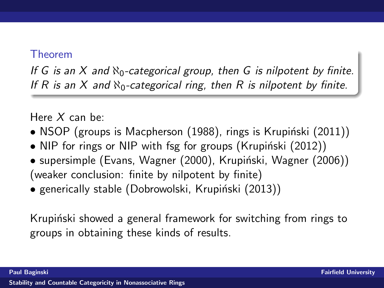#### Theorem

If G is an X and  $\aleph_0$ -categorical group, then G is nilpotent by finite. If R is an X and  $\aleph_0$ -categorical ring, then R is nilpotent by finite.

Here  $X$  can be:

- NSOP (groups is Macpherson  $(1988)$ , rings is Krupiński  $(2011)$ )
- NIP for rings or NIP with fsg for groups (Krupiński  $(2012)$ )
- supersimple (Evans, Wagner (2000), Krupiński, Wagner (2006)) (weaker conclusion: finite by nilpotent by finite)
- generically stable (Dobrowolski, Krupiński (2013))

Krupiński showed a general framework for switching from rings to groups in obtaining these kinds of results.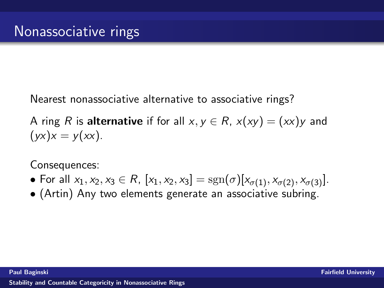Nearest nonassociative alternative to associative rings?

A ring R is alternative if for all  $x, y \in R$ ,  $x(xy) = (xx)y$  and  $(yx)x = y(xx).$ 

Consequences:

- For all  $x_1, x_2, x_3 \in R$ ,  $[x_1, x_2, x_3] = sgn(\sigma)[x_{\sigma(1)}, x_{\sigma(2)}, x_{\sigma(3)}].$
- (Artin) Any two elements generate an associative subring.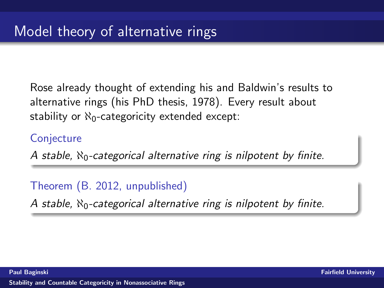Rose already thought of extending his and Baldwin's results to alternative rings (his PhD thesis, 1978). Every result about stability or  $\aleph_0$ -categoricity extended except:

#### **Conjecture**

A stable,  $\aleph_0$ -categorical alternative ring is nilpotent by finite.

Theorem (B. 2012, unpublished)

A stable,  $\aleph_0$ -categorical alternative ring is nilpotent by finite.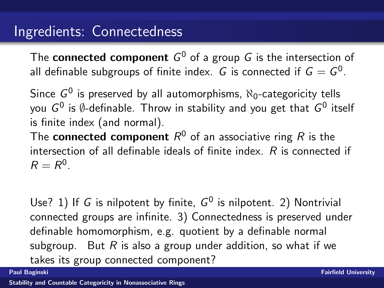The  ${\sf connected\,\, component\,\,} G^0$  of a group  $G$  is the intersection of all definable subgroups of finite index.  $\,G\,$  is connected if  $\,G = G^0.$ 

Since  $G^0$  is preserved by all automorphisms,  $\aleph_0$ -categoricity tells you  $G^0$  is  $\emptyset$ -definable. Throw in stability and you get that  $G^0$  itself is finite index (and normal).

The  ${\sf connected\,\, component}\,\, R^0$  of an associative ring  $R$  is the intersection of all definable ideals of finite index. R is connected if  $R = R^0$ .

Use? 1) If G is nilpotent by finite,  $G^0$  is nilpotent. 2) Nontrivial connected groups are infinite. 3) Connectedness is preserved under definable homomorphism, e.g. quotient by a definable normal subgroup. But  $R$  is also a group under addition, so what if we takes its group connected component?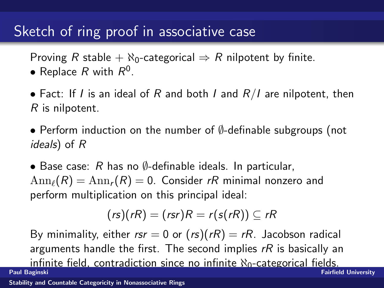# Sketch of ring proof in associative case

Proving R stable +  $\aleph_0$ -categorical  $\Rightarrow$  R nilpotent by finite.

- Replace  $R$  with  $R^0$ .
- Fact: If I is an ideal of R and both I and  $R/I$  are nilpotent, then R is nilpotent.
- Perform induction on the number of ∅-definable subgroups (not ideals) of R
- Base case:  $R$  has no  $\emptyset$ -definable ideals. In particular,  $\text{Ann}_{\ell}(R) = \text{Ann}_{r}(R) = 0$ . Consider rR minimal nonzero and perform multiplication on this principal ideal:

$$
(rs)(rR) = (rsr)R = r(s(rR)) \subseteq rR
$$

By minimality, either  $rsr = 0$  or  $(rs)(rR) = rR$ . Jacobson radical arguments handle the first. The second implies  $rR$  is basically an infinite field, contradiction since no infinite  $\aleph_0$ -categorical fields.<br>Paul Baginski **Fairfield University** [Stability and Countable Categoricity in Nonassociative Rings](#page-0-0)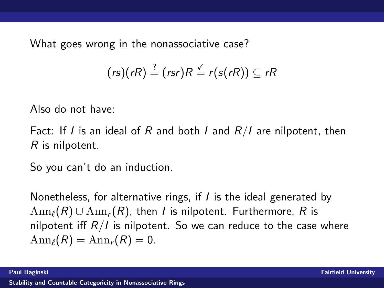What goes wrong in the nonassociative case?

$$
(rs)(rR) \stackrel{?}{=} (rsr)R \stackrel{\checkmark}{=} r(s(rR)) \subseteq rR
$$

Also do not have:

Fact: If I is an ideal of R and both I and  $R/I$  are nilpotent, then R is nilpotent.

So you can't do an induction.

Nonetheless, for alternative rings, if I is the ideal generated by  $\text{Ann}_{\ell}(R) \cup \text{Ann}_{r}(R)$ , then I is nilpotent. Furthermore, R is nilpotent iff  $R/I$  is nilpotent. So we can reduce to the case where  $\text{Ann}_{\ell}(R) = \text{Ann}_{r}(R) = 0.$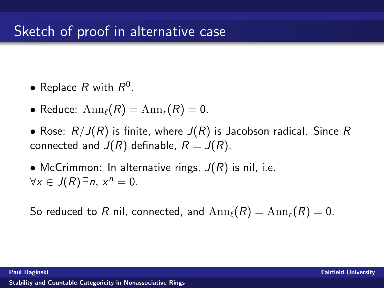# Sketch of proof in alternative case

- Replace  $R$  with  $R^0$ .
- Reduce:  $\text{Ann}_{\ell}(R) = \text{Ann}_{r}(R) = 0.$
- Rose:  $R/J(R)$  is finite, where  $J(R)$  is Jacobson radical. Since R connected and  $J(R)$  definable,  $R = J(R)$ .
- McCrimmon: In alternative rings,  $J(R)$  is nil, i.e.  $\forall x \in J(R) \exists n, x^n = 0.$

So reduced to R nil, connected, and  $\text{Ann}_{\ell}(R) = \text{Ann}_{r}(R) = 0$ .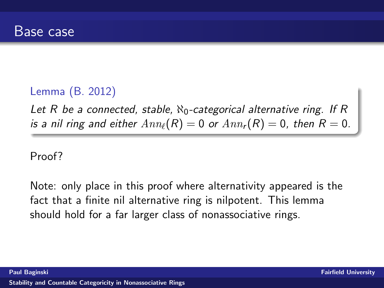### Lemma (B. 2012)

Let R be a connected, stable,  $\aleph_0$ -categorical alternative ring. If R is a nil ring and either  $Ann_{\ell}(R) = 0$  or  $Ann_{r}(R) = 0$ , then  $R = 0$ .

Proof?

Note: only place in this proof where alternativity appeared is the fact that a finite nil alternative ring is nilpotent. This lemma should hold for a far larger class of nonassociative rings.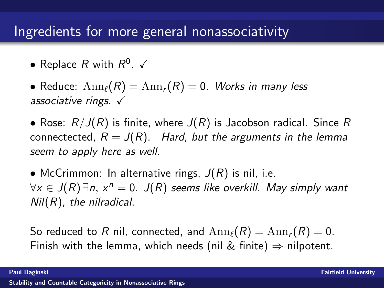# Ingredients for more general nonassociativity

• Replace  $R$  with  $R^0$ .  $\checkmark$ 

• Reduce:  $\text{Ann}_{\ell}(R) = \text{Ann}_{r}(R) = 0$ . Works in many less associative rings.  $\checkmark$ 

• Rose:  $R/J(R)$  is finite, where  $J(R)$  is Jacobson radical. Since R connectected,  $R = J(R)$ . Hard, but the arguments in the lemma seem to apply here as well.

• McCrimmon: In alternative rings,  $J(R)$  is nil, i.e.  $\forall x \in J(R)$   $\exists$ n,  $x^n = 0$ .  $J(R)$  seems like overkill. May simply want  $Nil(R)$ , the nilradical.

So reduced to R nil, connected, and  $\text{Ann}_\ell(R) = \text{Ann}_r(R) = 0$ . Finish with the lemma, which needs (nil & finite)  $\Rightarrow$  nilpotent.

Paul Baginski Fairfield University Communication of the Communication of the Communication of the Fairfield University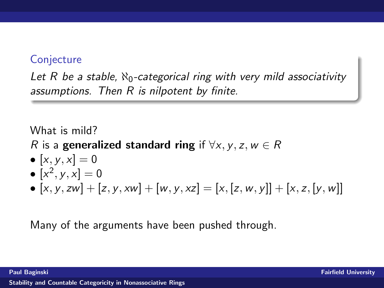#### **Conjecture**

Let R be a stable,  $\aleph_0$ -categorical ring with very mild associativity assumptions. Then R is nilpotent by finite.

What is mild?

R is a generalized standard ring if  $\forall x, y, z, w \in R$ 

- $[x, y, x] = 0$
- $[x^2, y, x] = 0$
- $[x, y, zw] + [z, y, xw] + [w, y, xz] = [x, [z, w, y]] + [x, z, [y, w]]$

Many of the arguments have been pushed through.